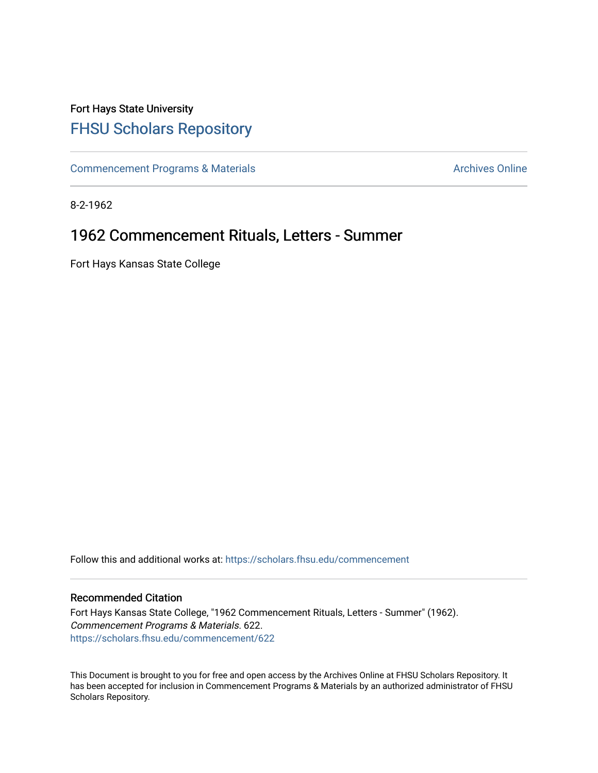## Fort Hays State University [FHSU Scholars Repository](https://scholars.fhsu.edu/)

[Commencement Programs & Materials](https://scholars.fhsu.edu/commencement) **Archives Online** Archives Online

8-2-1962

## 1962 Commencement Rituals, Letters - Summer

Fort Hays Kansas State College

Follow this and additional works at: [https://scholars.fhsu.edu/commencement](https://scholars.fhsu.edu/commencement?utm_source=scholars.fhsu.edu%2Fcommencement%2F622&utm_medium=PDF&utm_campaign=PDFCoverPages)

## Recommended Citation

Fort Hays Kansas State College, "1962 Commencement Rituals, Letters - Summer" (1962). Commencement Programs & Materials. 622. [https://scholars.fhsu.edu/commencement/622](https://scholars.fhsu.edu/commencement/622?utm_source=scholars.fhsu.edu%2Fcommencement%2F622&utm_medium=PDF&utm_campaign=PDFCoverPages)

This Document is brought to you for free and open access by the Archives Online at FHSU Scholars Repository. It has been accepted for inclusion in Commencement Programs & Materials by an authorized administrator of FHSU Scholars Repository.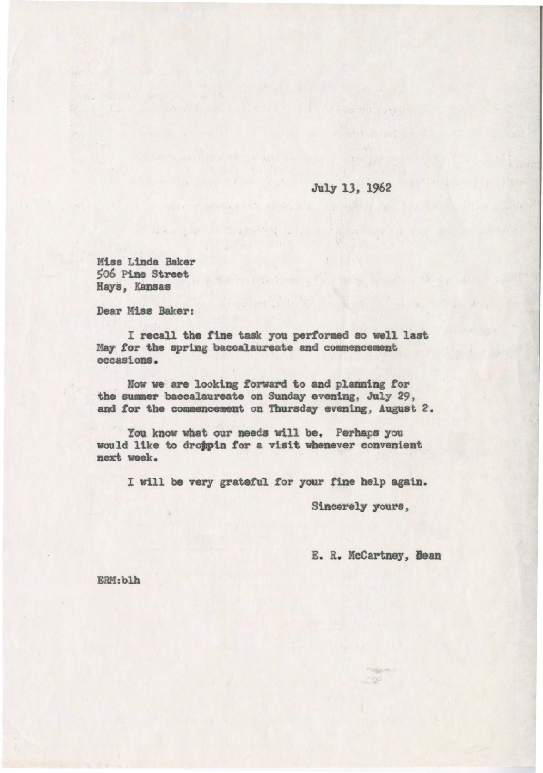July 13, 1962

Miss Linda Raker 506 Pine Street Hays, Kansas

Dear Miss Baker:

I recall the fine task you performed so well last May for the spring baccalaureate and commencement occasions.

Now we are looking forward to and planning for the summer baccalaureate on Sunday evening. July 29. and for the commencement on Thursday evening, August 2.

You know what our needs will be. Perhaps you would like to droppin for a visit whenever convenient next week.

I will be very grateful for your fine help again.

Sincerely yours,

E. R. McCartney, Dean

ERM:blh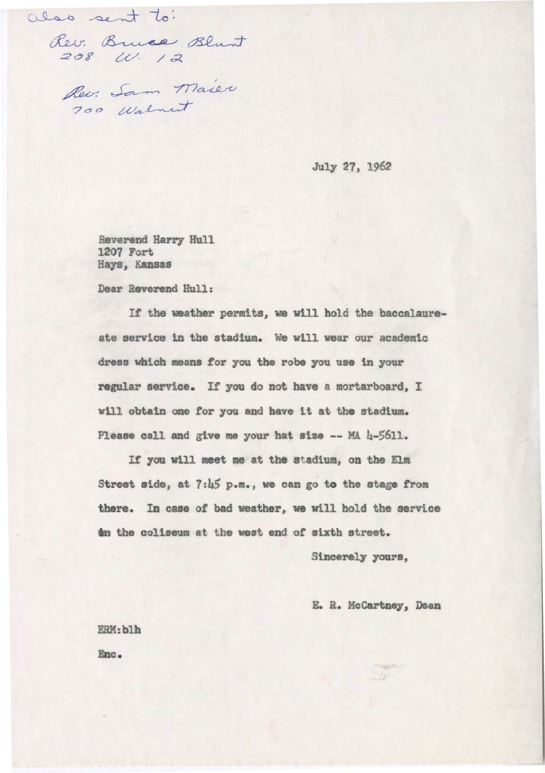also sent to:

so sent to:<br>Rev. Bruce Blunt<br>208 W. 12  $208$  W. 12

Rev. Sam Maier

July 27, 1962

Reverend Harry Hull 1207 Fort Hays, Kansas

Dear Reverend Hull:

If the weather permits, we will hold the baccalaureate service in the stadium. We wtll wear our academic dress which means tor you the robe you use in your regular service. If you do not have a mortarboard, I will obtain one for you and have it at the stadium. Please call and give me your hat size -- MA 4-5611.

If you will meet me at the stadium, on the Elm Street side, at 7:45 p.m., we can go to the stage from there. In case of bad weather, we will hold the service 6n the coliseum at the wet end of sixth street.

Sincerely **yours,** 

E. R. McCartney, Dean

ERM:blh Enc.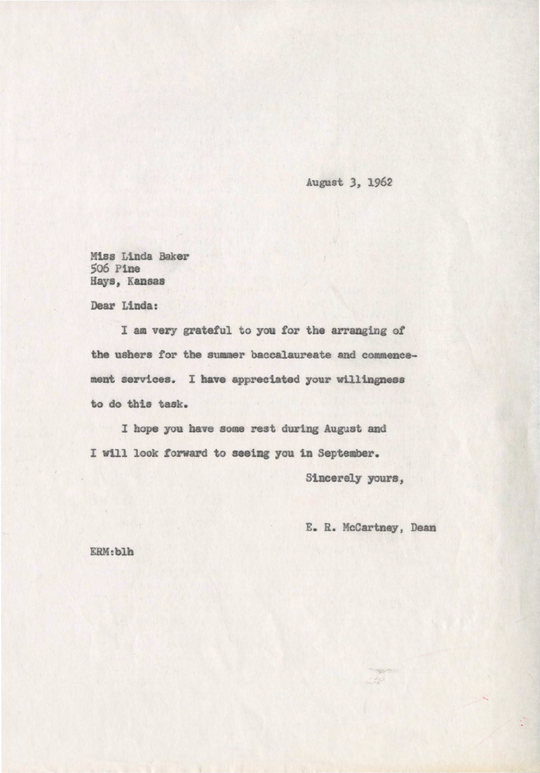August *3,* 1962

Miss Linda Baker So6 Pine Hays, **·Kansas** 

Dear Linda:

I am very grateful to you tor the arranging or the ushers for the summer baccalaureate and commencement services. I have appreciated your willingness to do this task.

I hope you have some rest during August and I will look **forward** to **seaiag** you 1n September.

Sincerely yours,

E. R. McCartney, Dean

ERH;blb